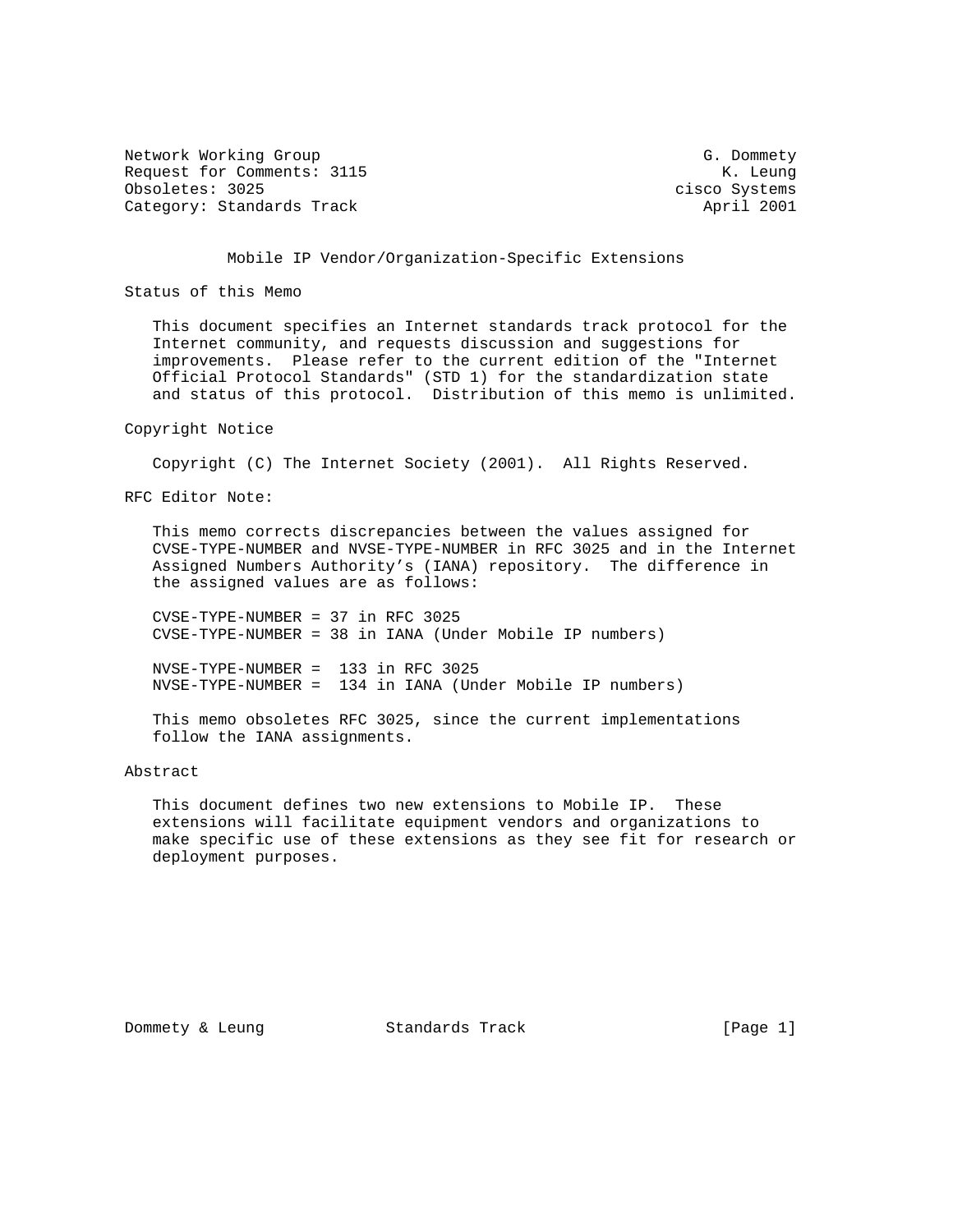Network Working Group G. Dommety Request for Comments: 3115 K. Leung Obsoletes: 3025 cisco Systems Category: Standards Track April 2001

### Mobile IP Vendor/Organization-Specific Extensions

Status of this Memo

 This document specifies an Internet standards track protocol for the Internet community, and requests discussion and suggestions for improvements. Please refer to the current edition of the "Internet Official Protocol Standards" (STD 1) for the standardization state and status of this protocol. Distribution of this memo is unlimited.

#### Copyright Notice

Copyright (C) The Internet Society (2001). All Rights Reserved.

RFC Editor Note:

 This memo corrects discrepancies between the values assigned for CVSE-TYPE-NUMBER and NVSE-TYPE-NUMBER in RFC 3025 and in the Internet Assigned Numbers Authority's (IANA) repository. The difference in the assigned values are as follows:

 CVSE-TYPE-NUMBER = 37 in RFC 3025 CVSE-TYPE-NUMBER = 38 in IANA (Under Mobile IP numbers)

 NVSE-TYPE-NUMBER = 133 in RFC 3025 NVSE-TYPE-NUMBER = 134 in IANA (Under Mobile IP numbers)

 This memo obsoletes RFC 3025, since the current implementations follow the IANA assignments.

Abstract

 This document defines two new extensions to Mobile IP. These extensions will facilitate equipment vendors and organizations to make specific use of these extensions as they see fit for research or deployment purposes.

Dommety & Leung Standards Track [Page 1]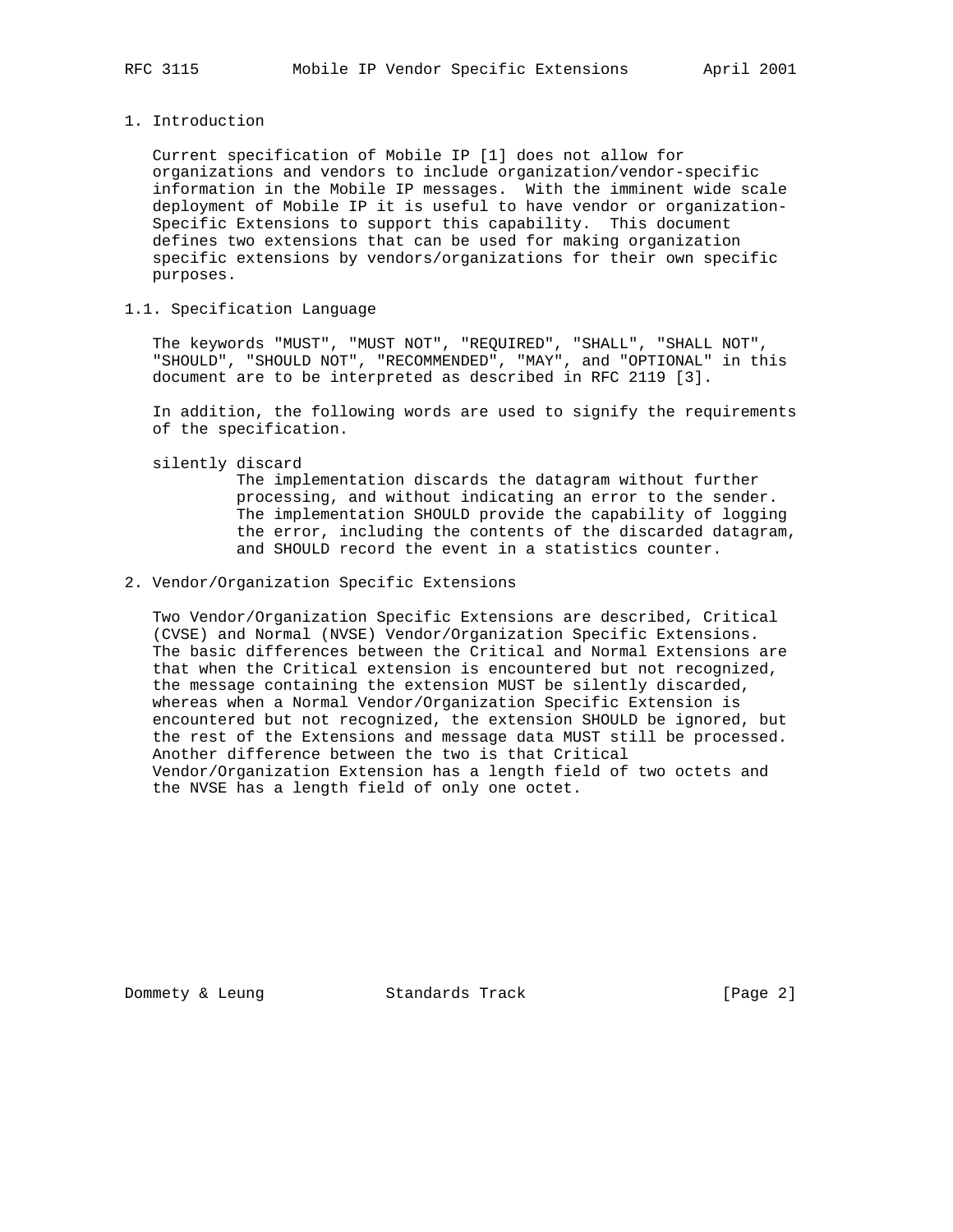1. Introduction

 Current specification of Mobile IP [1] does not allow for organizations and vendors to include organization/vendor-specific information in the Mobile IP messages. With the imminent wide scale deployment of Mobile IP it is useful to have vendor or organization- Specific Extensions to support this capability. This document defines two extensions that can be used for making organization specific extensions by vendors/organizations for their own specific purposes.

1.1. Specification Language

 The keywords "MUST", "MUST NOT", "REQUIRED", "SHALL", "SHALL NOT", "SHOULD", "SHOULD NOT", "RECOMMENDED", "MAY", and "OPTIONAL" in this document are to be interpreted as described in RFC 2119 [3].

 In addition, the following words are used to signify the requirements of the specification.

silently discard

 The implementation discards the datagram without further processing, and without indicating an error to the sender. The implementation SHOULD provide the capability of logging the error, including the contents of the discarded datagram, and SHOULD record the event in a statistics counter.

2. Vendor/Organization Specific Extensions

 Two Vendor/Organization Specific Extensions are described, Critical (CVSE) and Normal (NVSE) Vendor/Organization Specific Extensions. The basic differences between the Critical and Normal Extensions are that when the Critical extension is encountered but not recognized, the message containing the extension MUST be silently discarded, whereas when a Normal Vendor/Organization Specific Extension is encountered but not recognized, the extension SHOULD be ignored, but the rest of the Extensions and message data MUST still be processed. Another difference between the two is that Critical Vendor/Organization Extension has a length field of two octets and the NVSE has a length field of only one octet.

Dommety & Leung Standards Track [Page 2]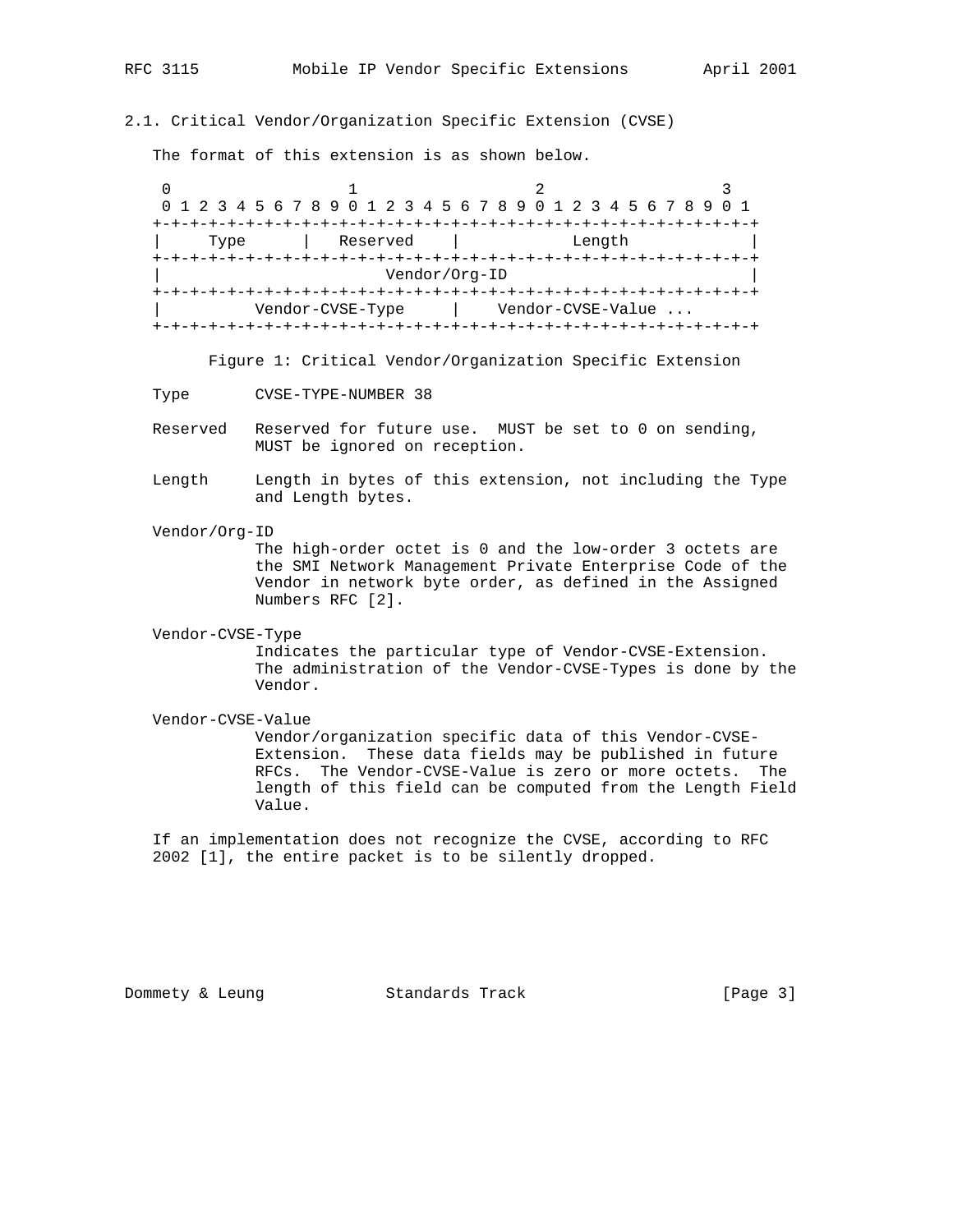## 2.1. Critical Vendor/Organization Specific Extension (CVSE)

The format of this extension is as shown below.

0  $1$  2 3 0 1 2 3 4 5 6 7 8 9 0 1 2 3 4 5 6 7 8 9 0 1 2 3 4 5 6 7 8 9 0 1 +-+-+-+-+-+-+-+-+-+-+-+-+-+-+-+-+-+-+-+-+-+-+-+-+-+-+-+-+-+-+-+-+ | Type | Reserved | Length | +-+-+-+-+-+-+-+-+-+-+-+-+-+-+-+-+-+-+-+-+-+-+-+-+-+-+-+-+-+-+-+-+ | Vendor/Org-ID | +-+-+-+-+-+-+-+-+-+-+-+-+-+-+-+-+-+-+-+-+-+-+-+-+-+-+-+-+-+-+-+-+ | Vendor-CVSE-Type | Vendor-CVSE-Value ... +-+-+-+-+-+-+-+-+-+-+-+-+-+-+-+-+-+-+-+-+-+-+-+-+-+-+-+-+-+-+-+-+

Figure 1: Critical Vendor/Organization Specific Extension

Type CVSE-TYPE-NUMBER 38

- Reserved Reserved for future use. MUST be set to 0 on sending, MUST be ignored on reception.
- Length Length in bytes of this extension, not including the Type and Length bytes.
- Vendor/Org-ID

 The high-order octet is 0 and the low-order 3 octets are the SMI Network Management Private Enterprise Code of the Vendor in network byte order, as defined in the Assigned Numbers RFC [2].

Vendor-CVSE-Type

 Indicates the particular type of Vendor-CVSE-Extension. The administration of the Vendor-CVSE-Types is done by the Vendor.

Vendor-CVSE-Value

 Vendor/organization specific data of this Vendor-CVSE- Extension. These data fields may be published in future RFCs. The Vendor-CVSE-Value is zero or more octets. The length of this field can be computed from the Length Field Value.

 If an implementation does not recognize the CVSE, according to RFC 2002 [1], the entire packet is to be silently dropped.

Dommety & Leung Standards Track [Page 3]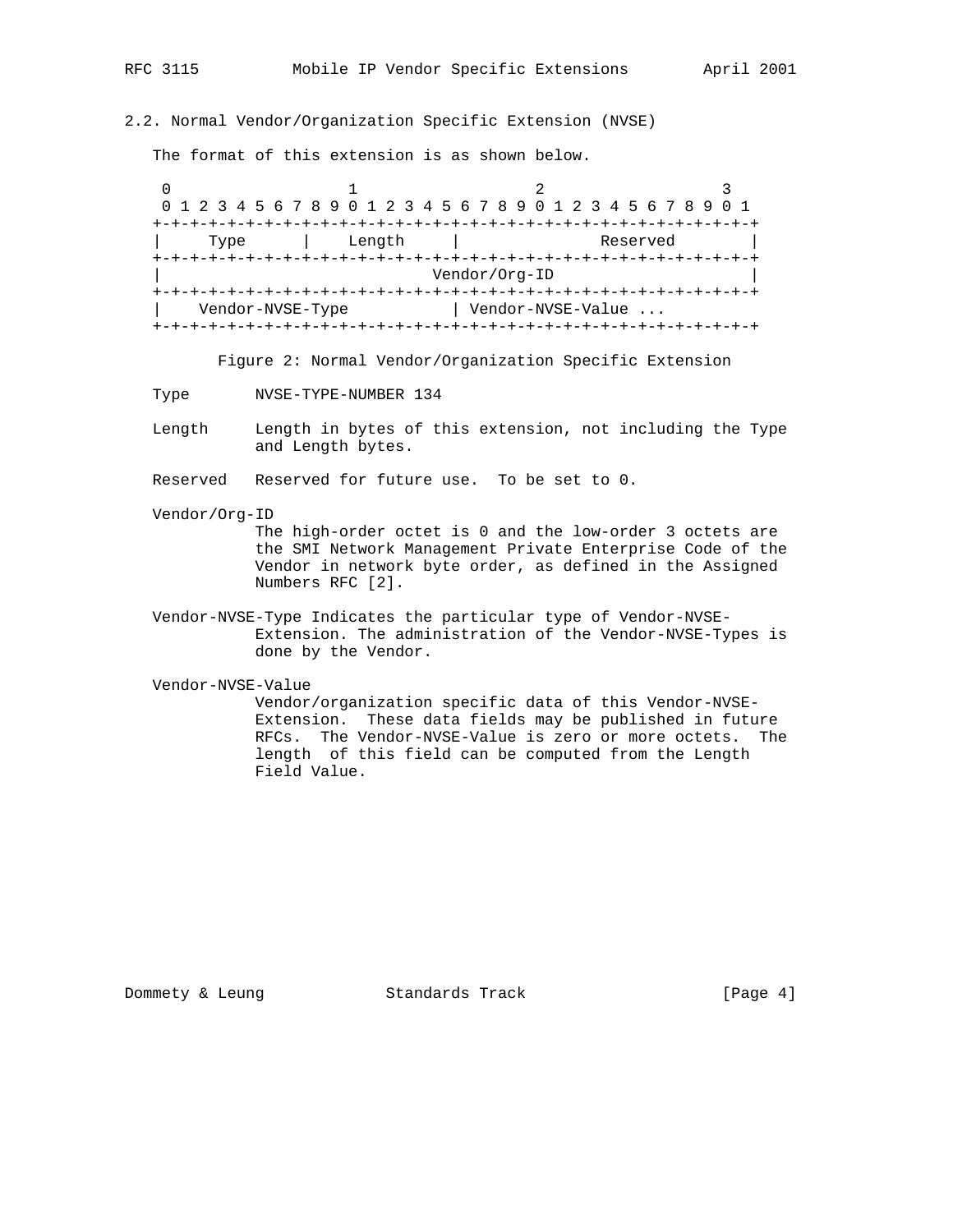2.2. Normal Vendor/Organization Specific Extension (NVSE)

The format of this extension is as shown below.

0  $1$  2 3 0 1 2 3 4 5 6 7 8 9 0 1 2 3 4 5 6 7 8 9 0 1 2 3 4 5 6 7 8 9 0 1 +-+-+-+-+-+-+-+-+-+-+-+-+-+-+-+-+-+-+-+-+-+-+-+-+-+-+-+-+-+-+-+-+ Type | Length | Reserved +-+-+-+-+-+-+-+-+-+-+-+-+-+-+-+-+-+-+-+-+-+-+-+-+-+-+-+-+-+-+-+-+ | Vendor/Org-ID | +-+-+-+-+-+-+-+-+-+-+-+-+-+-+-+-+-+-+-+-+-+-+-+-+-+-+-+-+-+-+-+-+ | Vendor-NVSE-Type | Vendor-NVSE-Value ... +-+-+-+-+-+-+-+-+-+-+-+-+-+-+-+-+-+-+-+-+-+-+-+-+-+-+-+-+-+-+-+-+

Figure 2: Normal Vendor/Organization Specific Extension

Type NVSE-TYPE-NUMBER 134

 Length Length in bytes of this extension, not including the Type and Length bytes.

Reserved Reserved for future use. To be set to 0.

Vendor/Org-ID

 The high-order octet is 0 and the low-order 3 octets are the SMI Network Management Private Enterprise Code of the Vendor in network byte order, as defined in the Assigned Numbers RFC [2].

 Vendor-NVSE-Type Indicates the particular type of Vendor-NVSE- Extension. The administration of the Vendor-NVSE-Types is done by the Vendor.

Vendor-NVSE-Value

 Vendor/organization specific data of this Vendor-NVSE- Extension. These data fields may be published in future RFCs. The Vendor-NVSE-Value is zero or more octets. The length of this field can be computed from the Length Field Value.

Dommety & Leung Standards Track [Page 4]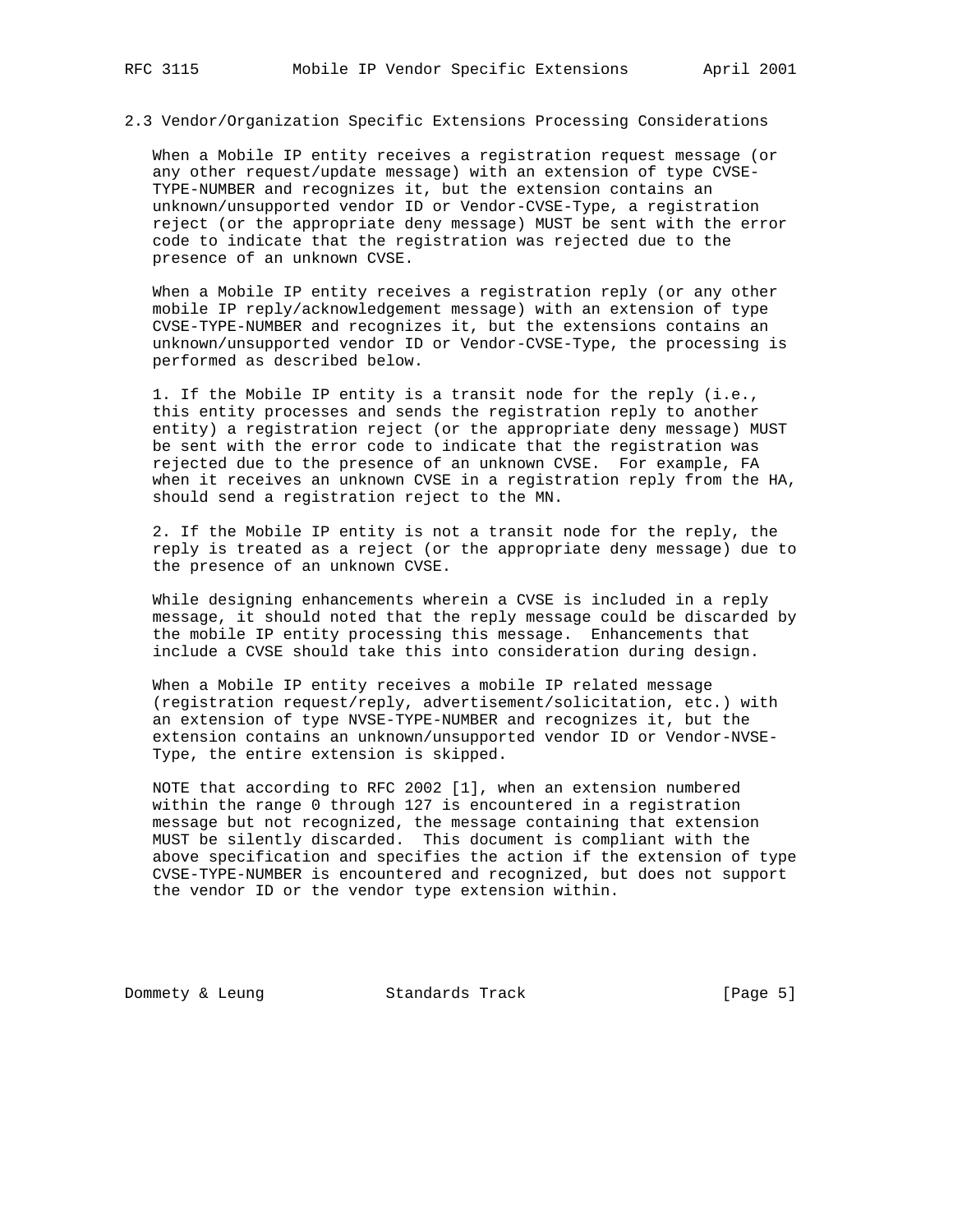2.3 Vendor/Organization Specific Extensions Processing Considerations

 When a Mobile IP entity receives a registration request message (or any other request/update message) with an extension of type CVSE- TYPE-NUMBER and recognizes it, but the extension contains an unknown/unsupported vendor ID or Vendor-CVSE-Type, a registration reject (or the appropriate deny message) MUST be sent with the error code to indicate that the registration was rejected due to the presence of an unknown CVSE.

 When a Mobile IP entity receives a registration reply (or any other mobile IP reply/acknowledgement message) with an extension of type CVSE-TYPE-NUMBER and recognizes it, but the extensions contains an unknown/unsupported vendor ID or Vendor-CVSE-Type, the processing is performed as described below.

 1. If the Mobile IP entity is a transit node for the reply (i.e., this entity processes and sends the registration reply to another entity) a registration reject (or the appropriate deny message) MUST be sent with the error code to indicate that the registration was rejected due to the presence of an unknown CVSE. For example, FA when it receives an unknown CVSE in a registration reply from the HA, should send a registration reject to the MN.

 2. If the Mobile IP entity is not a transit node for the reply, the reply is treated as a reject (or the appropriate deny message) due to the presence of an unknown CVSE.

 While designing enhancements wherein a CVSE is included in a reply message, it should noted that the reply message could be discarded by the mobile IP entity processing this message. Enhancements that include a CVSE should take this into consideration during design.

 When a Mobile IP entity receives a mobile IP related message (registration request/reply, advertisement/solicitation, etc.) with an extension of type NVSE-TYPE-NUMBER and recognizes it, but the extension contains an unknown/unsupported vendor ID or Vendor-NVSE- Type, the entire extension is skipped.

 NOTE that according to RFC 2002 [1], when an extension numbered within the range 0 through 127 is encountered in a registration message but not recognized, the message containing that extension MUST be silently discarded. This document is compliant with the above specification and specifies the action if the extension of type CVSE-TYPE-NUMBER is encountered and recognized, but does not support the vendor ID or the vendor type extension within.

Dommety & Leung Standards Track [Page 5]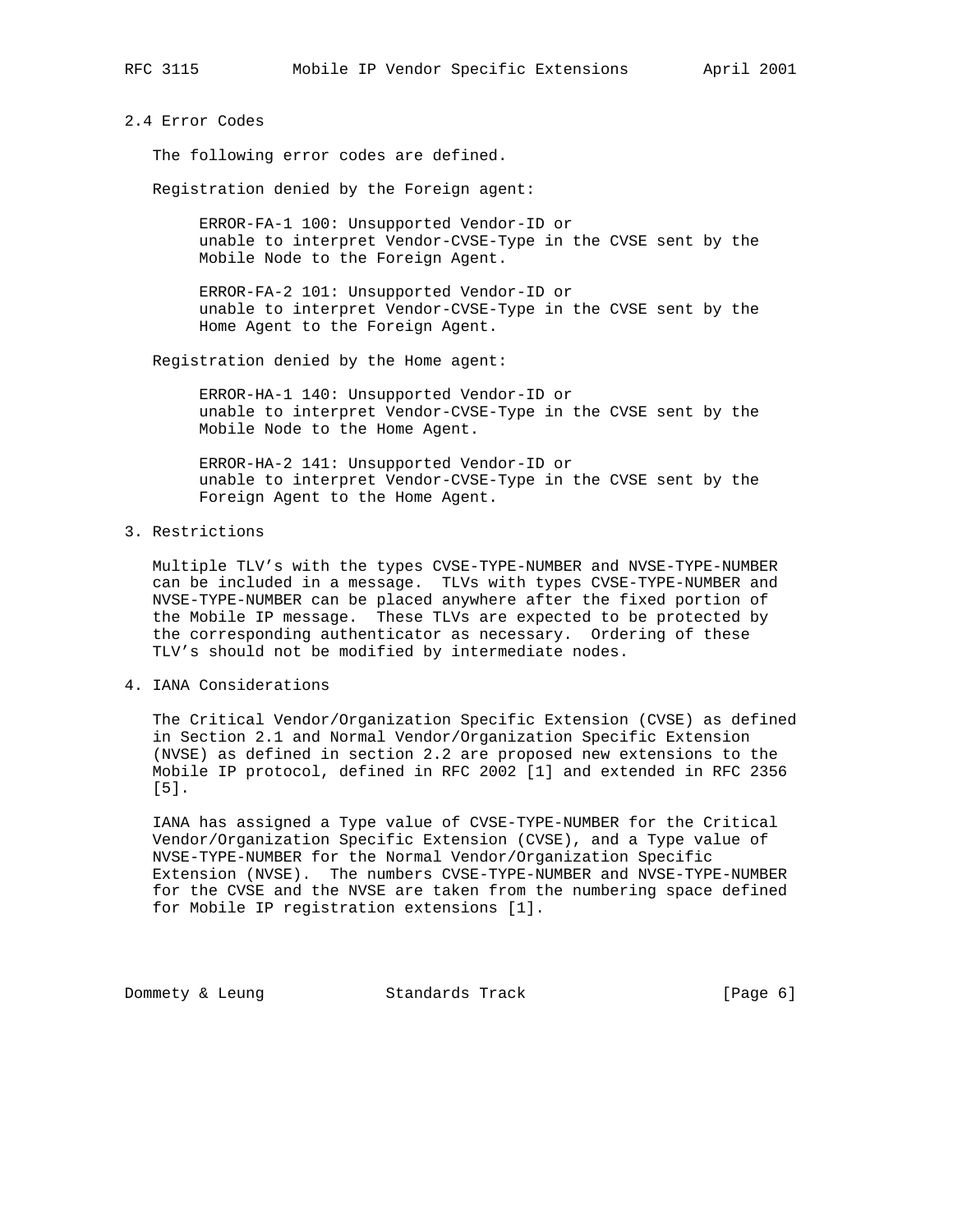# 2.4 Error Codes

The following error codes are defined.

Registration denied by the Foreign agent:

 ERROR-FA-1 100: Unsupported Vendor-ID or unable to interpret Vendor-CVSE-Type in the CVSE sent by the Mobile Node to the Foreign Agent.

 ERROR-FA-2 101: Unsupported Vendor-ID or unable to interpret Vendor-CVSE-Type in the CVSE sent by the Home Agent to the Foreign Agent.

Registration denied by the Home agent:

 ERROR-HA-1 140: Unsupported Vendor-ID or unable to interpret Vendor-CVSE-Type in the CVSE sent by the Mobile Node to the Home Agent.

 ERROR-HA-2 141: Unsupported Vendor-ID or unable to interpret Vendor-CVSE-Type in the CVSE sent by the Foreign Agent to the Home Agent.

3. Restrictions

 Multiple TLV's with the types CVSE-TYPE-NUMBER and NVSE-TYPE-NUMBER can be included in a message. TLVs with types CVSE-TYPE-NUMBER and NVSE-TYPE-NUMBER can be placed anywhere after the fixed portion of the Mobile IP message. These TLVs are expected to be protected by the corresponding authenticator as necessary. Ordering of these TLV's should not be modified by intermediate nodes.

4. IANA Considerations

 The Critical Vendor/Organization Specific Extension (CVSE) as defined in Section 2.1 and Normal Vendor/Organization Specific Extension (NVSE) as defined in section 2.2 are proposed new extensions to the Mobile IP protocol, defined in RFC 2002 [1] and extended in RFC 2356 [5].

 IANA has assigned a Type value of CVSE-TYPE-NUMBER for the Critical Vendor/Organization Specific Extension (CVSE), and a Type value of NVSE-TYPE-NUMBER for the Normal Vendor/Organization Specific Extension (NVSE). The numbers CVSE-TYPE-NUMBER and NVSE-TYPE-NUMBER for the CVSE and the NVSE are taken from the numbering space defined for Mobile IP registration extensions [1].

Dommety & Leung Standards Track [Page 6]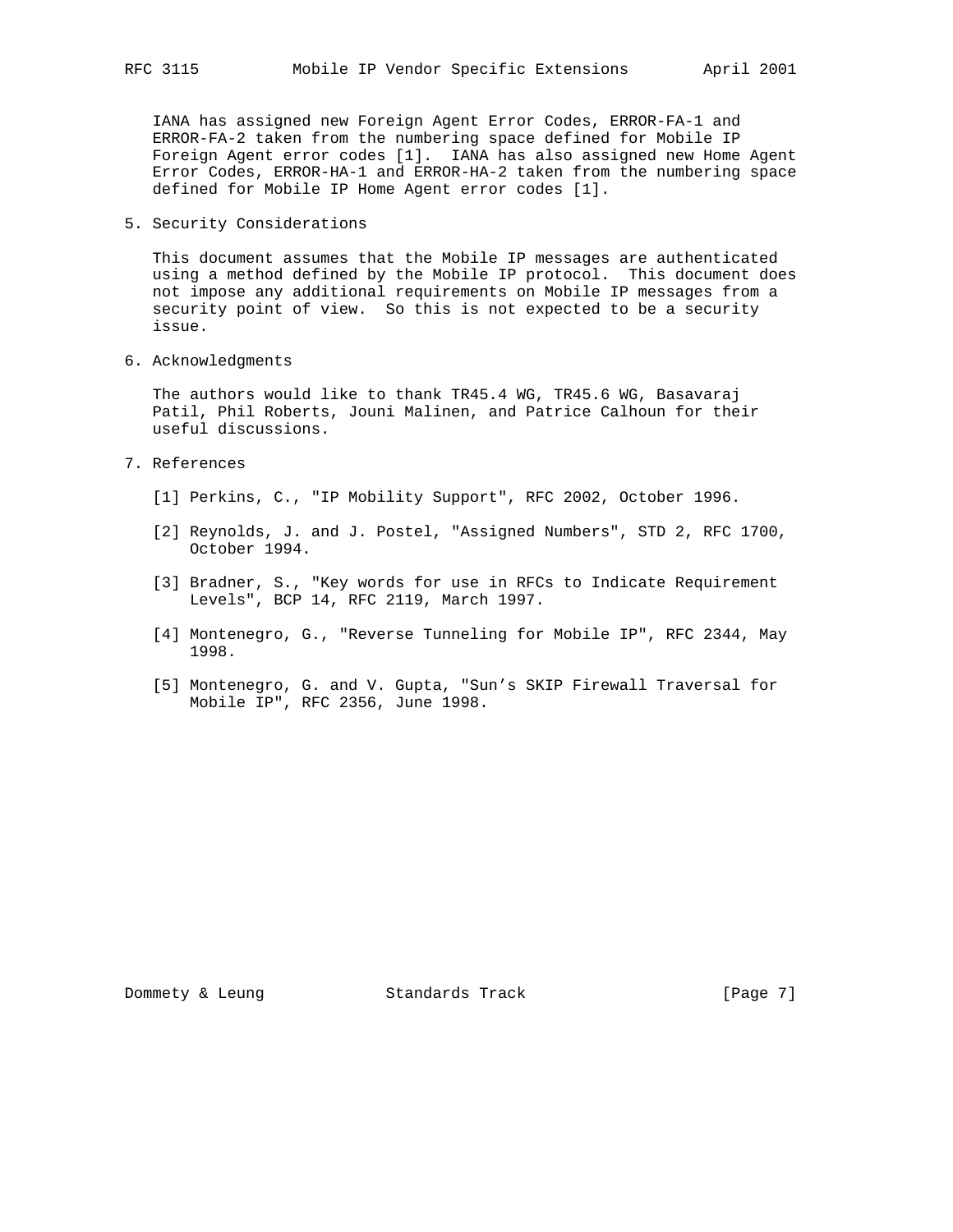IANA has assigned new Foreign Agent Error Codes, ERROR-FA-1 and ERROR-FA-2 taken from the numbering space defined for Mobile IP Foreign Agent error codes [1]. IANA has also assigned new Home Agent Error Codes, ERROR-HA-1 and ERROR-HA-2 taken from the numbering space defined for Mobile IP Home Agent error codes [1].

5. Security Considerations

 This document assumes that the Mobile IP messages are authenticated using a method defined by the Mobile IP protocol. This document does not impose any additional requirements on Mobile IP messages from a security point of view. So this is not expected to be a security issue.

6. Acknowledgments

 The authors would like to thank TR45.4 WG, TR45.6 WG, Basavaraj Patil, Phil Roberts, Jouni Malinen, and Patrice Calhoun for their useful discussions.

- 7. References
	- [1] Perkins, C., "IP Mobility Support", RFC 2002, October 1996.
	- [2] Reynolds, J. and J. Postel, "Assigned Numbers", STD 2, RFC 1700, October 1994.
	- [3] Bradner, S., "Key words for use in RFCs to Indicate Requirement Levels", BCP 14, RFC 2119, March 1997.
	- [4] Montenegro, G., "Reverse Tunneling for Mobile IP", RFC 2344, May 1998.
	- [5] Montenegro, G. and V. Gupta, "Sun's SKIP Firewall Traversal for Mobile IP", RFC 2356, June 1998.

Dommety & Leung Standards Track [Page 7]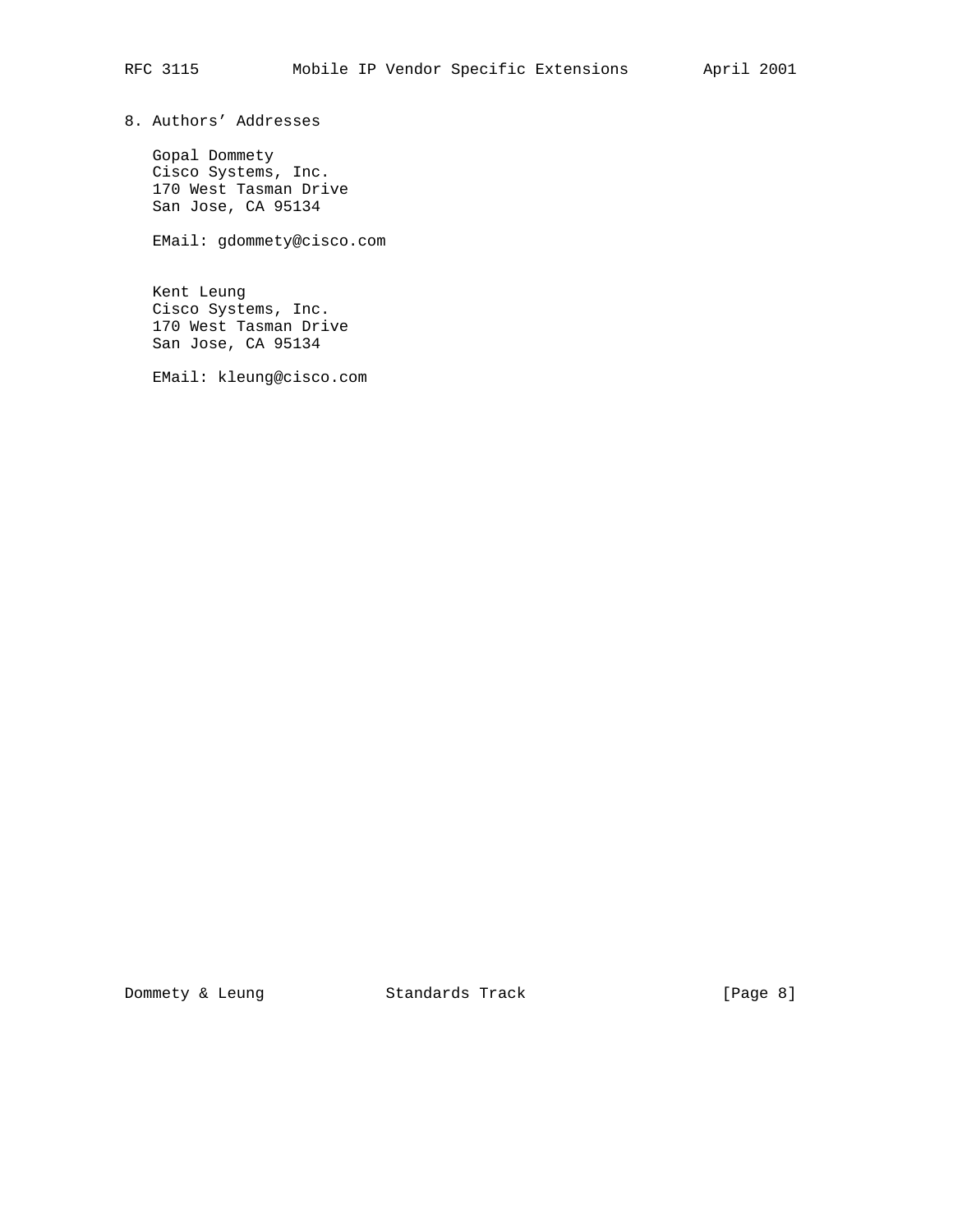8. Authors' Addresses

 Gopal Dommety Cisco Systems, Inc. 170 West Tasman Drive San Jose, CA 95134

EMail: gdommety@cisco.com

 Kent Leung Cisco Systems, Inc. 170 West Tasman Drive San Jose, CA 95134

EMail: kleung@cisco.com

Dommety & Leung Standards Track [Page 8]